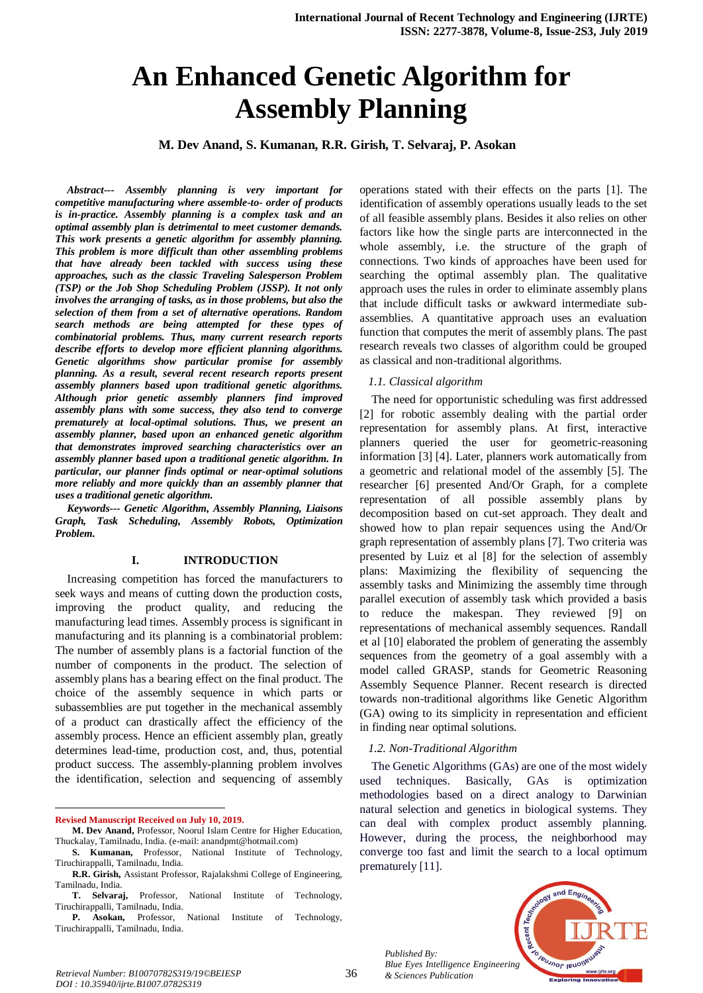# **An Enhanced Genetic Algorithm for Assembly Planning**

## **M. Dev Anand, S. Kumanan, R.R. Girish, T. Selvaraj, P. Asokan**

*Abstract--- Assembly planning is very important for competitive manufacturing where assemble-to- order of products is in-practice. Assembly planning is a complex task and an optimal assembly plan is detrimental to meet customer demands. This work presents a genetic algorithm for assembly planning. This problem is more difficult than other assembling problems that have already been tackled with success using these approaches, such as the classic Traveling Salesperson Problem (TSP) or the Job Shop Scheduling Problem (JSSP). It not only involves the arranging of tasks, as in those problems, but also the selection of them from a set of alternative operations. Random search methods are being attempted for these types of combinatorial problems. Thus, many current research reports describe efforts to develop more efficient planning algorithms. Genetic algorithms show particular promise for assembly planning. As a result, several recent research reports present assembly planners based upon traditional genetic algorithms. Although prior genetic assembly planners find improved assembly plans with some success, they also tend to converge prematurely at local-optimal solutions. Thus, we present an assembly planner, based upon an enhanced genetic algorithm that demonstrates improved searching characteristics over an assembly planner based upon a traditional genetic algorithm. In particular, our planner finds optimal or near-optimal solutions more reliably and more quickly than an assembly planner that uses a traditional genetic algorithm.*

*Keywords--- Genetic Algorithm, Assembly Planning, Liaisons Graph, Task Scheduling, Assembly Robots, Optimization Problem.*

#### **I. INTRODUCTION**

Increasing competition has forced the manufacturers to seek ways and means of cutting down the production costs, improving the product quality, and reducing the manufacturing lead times. Assembly process is significant in manufacturing and its planning is a combinatorial problem: The number of assembly plans is a factorial function of the number of components in the product. The selection of assembly plans has a bearing effect on the final product. The choice of the assembly sequence in which parts or subassemblies are put together in the mechanical assembly of a product can drastically affect the efficiency of the assembly process. Hence an efficient assembly plan, greatly determines lead-time, production cost, and, thus, potential product success. The assembly-planning problem involves the identification, selection and sequencing of assembly

**Revised Manuscript Received on July 10, 2019.**

 $\overline{a}$ 

operations stated with their effects on the parts [1]. The identification of assembly operations usually leads to the set of all feasible assembly plans. Besides it also relies on other factors like how the single parts are interconnected in the whole assembly, i.e. the structure of the graph of connections. Two kinds of approaches have been used for searching the optimal assembly plan. The qualitative approach uses the rules in order to eliminate assembly plans that include difficult tasks or awkward intermediate subassemblies. A quantitative approach uses an evaluation function that computes the merit of assembly plans. The past research reveals two classes of algorithm could be grouped as classical and non-traditional algorithms.

#### *1.1. Classical algorithm*

The need for opportunistic scheduling was first addressed [2] for robotic assembly dealing with the partial order representation for assembly plans. At first, interactive planners queried the user for geometric-reasoning information [3] [4]. Later, planners work automatically from a geometric and relational model of the assembly [5]. The researcher [6] presented And/Or Graph, for a complete representation of all possible assembly plans by decomposition based on cut-set approach. They dealt and showed how to plan repair sequences using the And/Or graph representation of assembly plans [7]. Two criteria was presented by Luiz et al [8] for the selection of assembly plans: Maximizing the flexibility of sequencing the assembly tasks and Minimizing the assembly time through parallel execution of assembly task which provided a basis to reduce the makespan. They reviewed [9] on representations of mechanical assembly sequences. Randall et al [10] elaborated the problem of generating the assembly sequences from the geometry of a goal assembly with a model called GRASP, stands for Geometric Reasoning Assembly Sequence Planner. Recent research is directed towards non-traditional algorithms like Genetic Algorithm (GA) owing to its simplicity in representation and efficient in finding near optimal solutions.

#### *1.2. Non-Traditional Algorithm*

The Genetic Algorithms (GAs) are one of the most widely used techniques. Basically, GAs is optimization methodologies based on a direct analogy to Darwinian natural selection and genetics in biological systems. They can deal with complex product assembly planning. However, during the process, the neighborhood may converge too fast and limit the search to a local optimum prematurely [11].



*Published By: Blue Eyes Intelligence Engineering* 

**M. Dev Anand,** Professor, Noorul Islam Centre for Higher Education, Thuckalay, Tamilnadu, India. (e-mail: [anandpmt@hotmail.com\)](mailto:anandpmt@hotmail.com)

**S. Kumanan,** Professor, National Institute of Technology, Tiruchirappalli, Tamilnadu, India.

**R.R. Girish,** Assistant Professor, Rajalakshmi College of Engineering, Tamilnadu, India.

**T. Selvaraj,** Professor, National Institute of Technology, Tiruchirappalli, Tamilnadu, India.

**P. Asokan,** Professor, National Institute of Technology, Tiruchirappalli, Tamilnadu, India.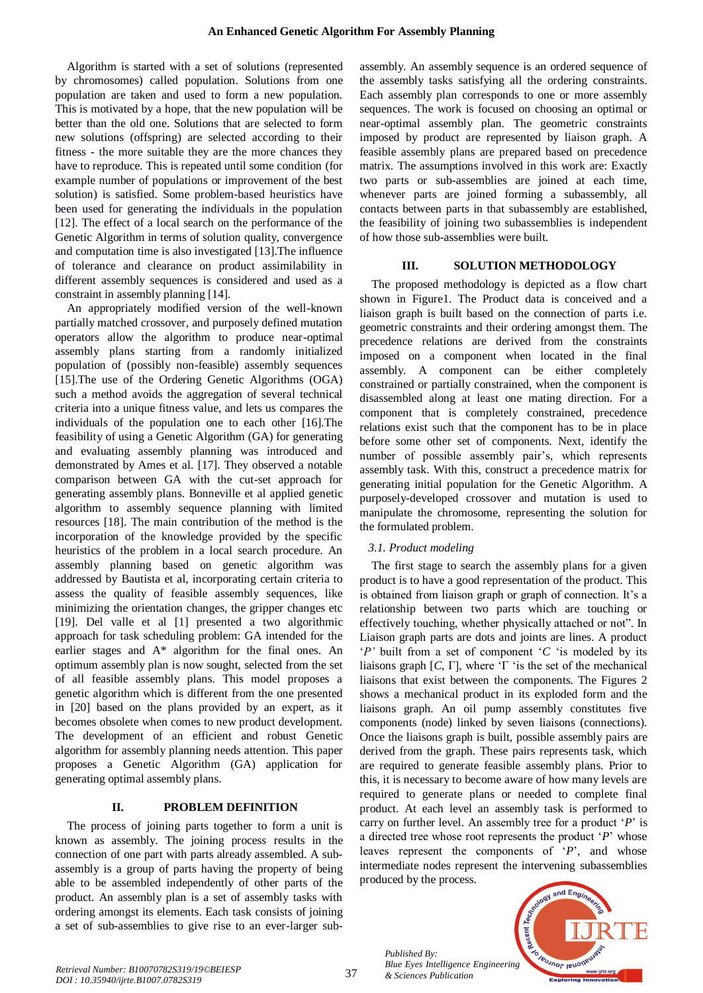Algorithm is started with a set of solutions (represented by chromosomes) called population. Solutions from one population are taken and used to form a new population. This is motivated by a hope, that the new population will be better than the old one. Solutions that are selected to form new solutions (offspring) are selected according to their fitness - the more suitable they are the more chances they have to reproduce. This is repeated until some condition (for example number of populations or improvement of the best solution) is satisfied. Some problem-based heuristics have been used for generating the individuals in the population [12]. The effect of a local search on the performance of the Genetic Algorithm in terms of solution quality, convergence and computation time is also investigated [13].The influence of tolerance and clearance on product assimilability in different assembly sequences is considered and used as a constraint in assembly planning [14].

An appropriately modified version of the well-known partially matched crossover, and purposely defined mutation operators allow the algorithm to produce near-optimal assembly plans starting from a randomly initialized population of (possibly non-feasible) assembly sequences [15].The use of the Ordering Genetic Algorithms (OGA) such a method avoids the aggregation of several technical criteria into a unique fitness value, and lets us compares the individuals of the population one to each other [16].The feasibility of using a Genetic Algorithm (GA) for generating and evaluating assembly planning was introduced and demonstrated by Ames et al. [17]. They observed a notable comparison between GA with the cut-set approach for generating assembly plans. Bonneville et al applied genetic algorithm to assembly sequence planning with limited resources [18]. The main contribution of the method is the incorporation of the knowledge provided by the specific heuristics of the problem in a local search procedure. An assembly planning based on genetic algorithm was addressed by Bautista et al, incorporating certain criteria to assess the quality of feasible assembly sequences, like minimizing the orientation changes, the gripper changes etc [19]. Del valle et al [1] presented a two algorithmic approach for task scheduling problem: GA intended for the earlier stages and A\* algorithm for the final ones. An optimum assembly plan is now sought, selected from the set of all feasible assembly plans. This model proposes a genetic algorithm which is different from the one presented in [20] based on the plans provided by an expert, as it becomes obsolete when comes to new product development. The development of an efficient and robust Genetic algorithm for assembly planning needs attention. This paper proposes a Genetic Algorithm (GA) application for generating optimal assembly plans.

## **II. PROBLEM DEFINITION**

The process of joining parts together to form a unit is known as assembly. The joining process results in the connection of one part with parts already assembled. A subassembly is a group of parts having the property of being able to be assembled independently of other parts of the product. An assembly plan is a set of assembly tasks with ordering amongst its elements. Each task consists of joining a set of sub-assemblies to give rise to an ever-larger sub-

assembly. An assembly sequence is an ordered sequence of the assembly tasks satisfying all the ordering constraints. Each assembly plan corresponds to one or more assembly sequences. The work is focused on choosing an optimal or near-optimal assembly plan. The geometric constraints imposed by product are represented by liaison graph. A feasible assembly plans are prepared based on precedence matrix. The assumptions involved in this work are: Exactly two parts or sub-assemblies are joined at each time, whenever parts are joined forming a subassembly, all contacts between parts in that subassembly are established, the feasibility of joining two subassemblies is independent of how those sub-assemblies were built.

#### **III. SOLUTION METHODOLOGY**

The proposed methodology is depicted as a flow chart shown in Figure1. The Product data is conceived and a liaison graph is built based on the connection of parts i.e. geometric constraints and their ordering amongst them. The precedence relations are derived from the constraints imposed on a component when located in the final assembly. A component can be either completely constrained or partially constrained, when the component is disassembled along at least one mating direction. For a component that is completely constrained, precedence relations exist such that the component has to be in place before some other set of components. Next, identify the number of possible assembly pair's, which represents assembly task. With this, construct a precedence matrix for generating initial population for the Genetic Algorithm. A purposely-developed crossover and mutation is used to manipulate the chromosome, representing the solution for the formulated problem.

## *3.1. Product modeling*

The first stage to search the assembly plans for a given product is to have a good representation of the product. This is obtained from liaison graph or graph of connection. It's a relationship between two parts which are touching or effectively touching, whether physically attached or not". In Liaison graph parts are dots and joints are lines. A product '*P'* built from a set of component '*C* 'is modeled by its liaisons graph  $[C, \Gamma]$ , where  $\Gamma$  'is the set of the mechanical liaisons that exist between the components. The Figures 2 shows a mechanical product in its exploded form and the liaisons graph. An oil pump assembly constitutes five components (node) linked by seven liaisons (connections). Once the liaisons graph is built, possible assembly pairs are derived from the graph. These pairs represents task, which are required to generate feasible assembly plans. Prior to this, it is necessary to become aware of how many levels are required to generate plans or needed to complete final product. At each level an assembly task is performed to carry on further level. An assembly tree for a product '*P*' is a directed tree whose root represents the product '*P*' whose leaves represent the components of '*P*', and whose intermediate nodes represent the intervening subassemblies produced by the process.

*Published By: Blue Eyes Intelligence Engineering* 

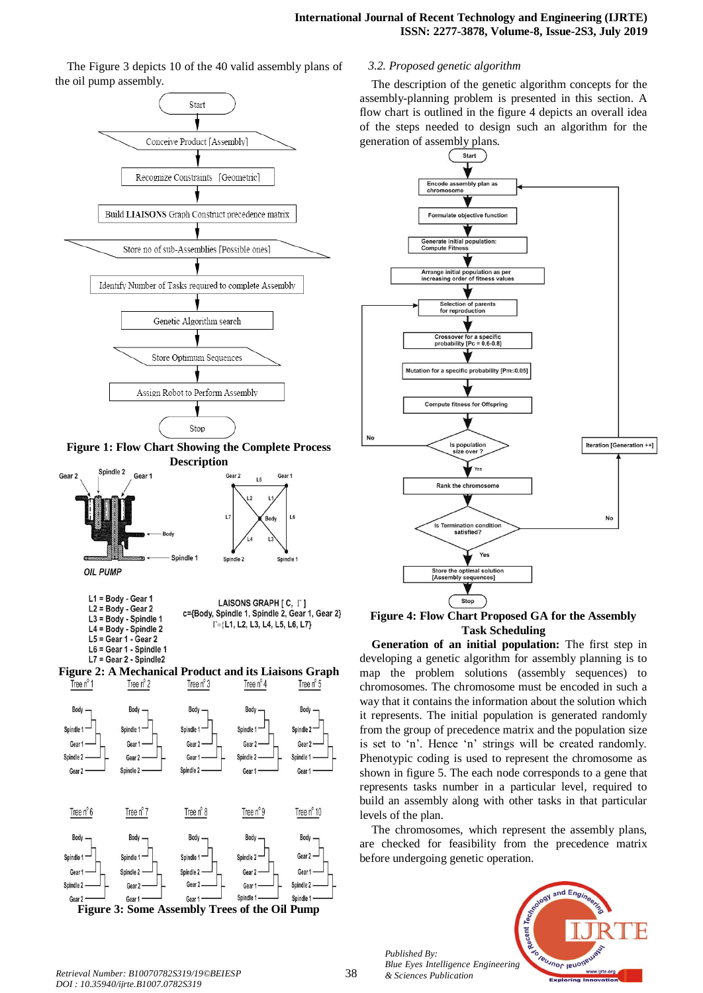The Figure 3 depicts 10 of the 40 valid assembly plans of the oil pump assembly.













#### *3.2. Proposed genetic algorithm*

The description of the genetic algorithm concepts for the assembly-planning problem is presented in this section. A flow chart is outlined in the figure 4 depicts an overall idea of the steps needed to design such an algorithm for the generation of assembly plans.



# **Figure 4: Flow Chart Proposed GA for the Assembly Task Scheduling**

**Generation of an initial population:** The first step in developing a genetic algorithm for assembly planning is to map the problem solutions (assembly sequences) to chromosomes. The chromosome must be encoded in such a way that it contains the information about the solution which it represents. The initial population is generated randomly from the group of precedence matrix and the population size is set to 'n'. Hence 'n' strings will be created randomly. Phenotypic coding is used to represent the chromosome as shown in figure 5. The each node corresponds to a gene that represents tasks number in a particular level, required to build an assembly along with other tasks in that particular levels of the plan.

The chromosomes, which represent the assembly plans, are checked for feasibility from the precedence matrix before undergoing genetic operation.

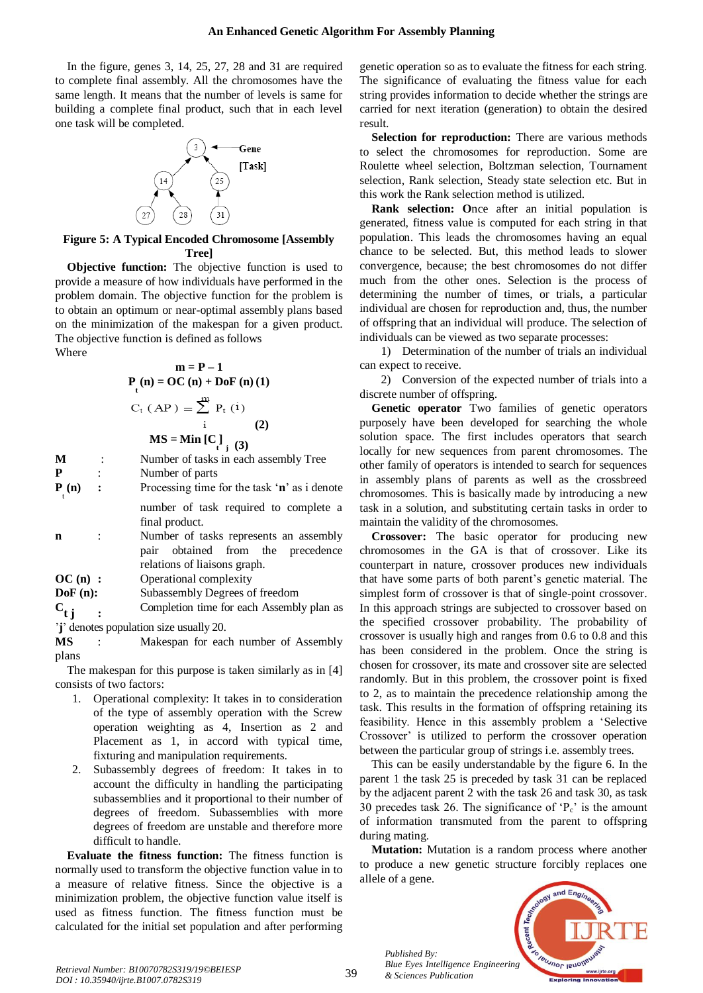In the figure, genes 3, 14, 25, 27, 28 and 31 are required to complete final assembly. All the chromosomes have the same length. It means that the number of levels is same for building a complete final product, such that in each level one task will be completed.



**Figure 5: A Typical Encoded Chromosome [Assembly Tree]**

**Objective function:** The objective function is used to provide a measure of how individuals have performed in the problem domain. The objective function for the problem is to obtain an optimum or near-optimal assembly plans based on the minimization of the makespan for a given product. The objective function is defined as follows Where

$$
\mathbf{m} = \mathbf{P} - \mathbf{1}
$$
  
\n
$$
\mathbf{P}_{t}(\mathbf{n}) = \mathbf{O}\mathbf{C}(\mathbf{n}) + \mathbf{DoF}(\mathbf{n})(1)
$$
  
\n
$$
\mathbf{C}_{t} (\mathbf{AP}) = \sum_{i}^{\mathbf{n} \mathbf{P}_{t}} \mathbf{P}_{t} (i)
$$
  
\n
$$
\mathbf{MS} = \mathbf{Min} [\mathbf{C}_{t} ]_{i} (3)
$$

| М          |                | Number of tasks in each assembly Tree                                                                                                                                  |  |  |  |  |  |  |
|------------|----------------|------------------------------------------------------------------------------------------------------------------------------------------------------------------------|--|--|--|--|--|--|
| P          |                | Number of parts                                                                                                                                                        |  |  |  |  |  |  |
| $P_{i}(n)$ | $\ddot{\cdot}$ | Processing time for the task 'n' as i denote                                                                                                                           |  |  |  |  |  |  |
| n          |                | number of task required to complete a<br>final product.<br>Number of tasks represents an assembly<br>pair obtained from the precedence<br>relations of liaisons graph. |  |  |  |  |  |  |

**OC (n) :** Operational complexity

**DoF** (n): Subassembly Degrees of freedom

 $\mathbf{c}_{\mathbf{t}\, \mathbf{i}}$ Completion time for each Assembly plan as

'**j**' denotes population size usually 20.

**MS** : Makespan for each number of Assembly plans

The makespan for this purpose is taken similarly as in [4] consists of two factors:

- 1. Operational complexity: It takes in to consideration of the type of assembly operation with the Screw operation weighting as 4, Insertion as 2 and Placement as 1, in accord with typical time, fixturing and manipulation requirements.
- 2. Subassembly degrees of freedom: It takes in to account the difficulty in handling the participating subassemblies and it proportional to their number of degrees of freedom. Subassemblies with more degrees of freedom are unstable and therefore more difficult to handle.

**Evaluate the fitness function:** The fitness function is normally used to transform the objective function value in to a measure of relative fitness. Since the objective is a minimization problem, the objective function value itself is used as fitness function. The fitness function must be calculated for the initial set population and after performing

genetic operation so as to evaluate the fitness for each string. The significance of evaluating the fitness value for each string provides information to decide whether the strings are carried for next iteration (generation) to obtain the desired result.

**Selection for reproduction:** There are various methods to select the chromosomes for reproduction. Some are Roulette wheel selection, Boltzman selection, Tournament selection, Rank selection, Steady state selection etc. But in this work the Rank selection method is utilized.

**Rank selection: O**nce after an initial population is generated, fitness value is computed for each string in that population. This leads the chromosomes having an equal chance to be selected. But, this method leads to slower convergence, because; the best chromosomes do not differ much from the other ones. Selection is the process of determining the number of times, or trials, a particular individual are chosen for reproduction and, thus, the number of offspring that an individual will produce. The selection of individuals can be viewed as two separate processes:

1) Determination of the number of trials an individual can expect to receive.

2) Conversion of the expected number of trials into a discrete number of offspring.

**Genetic operator** Two families of genetic operators purposely have been developed for searching the whole solution space. The first includes operators that search locally for new sequences from parent chromosomes. The other family of operators is intended to search for sequences in assembly plans of parents as well as the crossbreed chromosomes. This is basically made by introducing a new task in a solution, and substituting certain tasks in order to maintain the validity of the chromosomes.

**Crossover:** The basic operator for producing new chromosomes in the GA is that of crossover. Like its counterpart in nature, crossover produces new individuals that have some parts of both parent's genetic material. The simplest form of crossover is that of single-point crossover. In this approach strings are subjected to crossover based on the specified crossover probability. The probability of crossover is usually high and ranges from 0.6 to 0.8 and this has been considered in the problem. Once the string is chosen for crossover, its mate and crossover site are selected randomly. But in this problem, the crossover point is fixed to 2, as to maintain the precedence relationship among the task. This results in the formation of offspring retaining its feasibility. Hence in this assembly problem a 'Selective Crossover' is utilized to perform the crossover operation between the particular group of strings i.e. assembly trees.

This can be easily understandable by the figure 6. In the parent 1 the task 25 is preceded by task 31 can be replaced by the adjacent parent 2 with the task 26 and task 30, as task 30 precedes task 26. The significance of  $P_c$  is the amount of information transmuted from the parent to offspring during mating.

**Mutation:** Mutation is a random process where another to produce a new genetic structure forcibly replaces one allele of a gene.

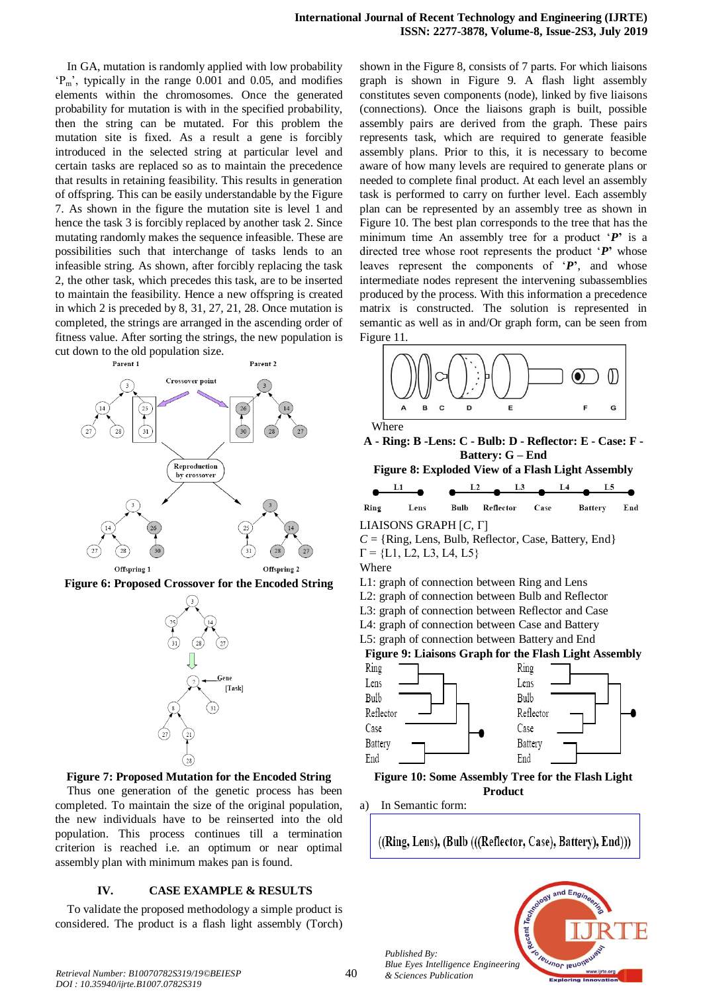In GA, mutation is randomly applied with low probability 'Pm', typically in the range 0.001 and 0.05, and modifies elements within the chromosomes. Once the generated probability for mutation is with in the specified probability, then the string can be mutated. For this problem the mutation site is fixed. As a result a gene is forcibly introduced in the selected string at particular level and certain tasks are replaced so as to maintain the precedence that results in retaining feasibility. This results in generation of offspring. This can be easily understandable by the Figure 7. As shown in the figure the mutation site is level 1 and hence the task 3 is forcibly replaced by another task 2. Since mutating randomly makes the sequence infeasible. These are possibilities such that interchange of tasks lends to an infeasible string. As shown, after forcibly replacing the task 2, the other task, which precedes this task, are to be inserted to maintain the feasibility. Hence a new offspring is created in which 2 is preceded by 8, 31, 27, 21, 28. Once mutation is completed, the strings are arranged in the ascending order of fitness value. After sorting the strings, the new population is cut down to the old population size.







**Figure 7: Proposed Mutation for the Encoded String**

Thus one generation of the genetic process has been completed. To maintain the size of the original population, the new individuals have to be reinserted into the old population. This process continues till a termination criterion is reached i.e. an optimum or near optimal assembly plan with minimum makes pan is found.

# **IV. CASE EXAMPLE & RESULTS**

To validate the proposed methodology a simple product is considered. The product is a flash light assembly (Torch)

shown in the Figure 8, consists of 7 parts. For which liaisons graph is shown in Figure 9. A flash light assembly constitutes seven components (node), linked by five liaisons (connections). Once the liaisons graph is built, possible assembly pairs are derived from the graph. These pairs represents task, which are required to generate feasible assembly plans. Prior to this, it is necessary to become aware of how many levels are required to generate plans or needed to complete final product. At each level an assembly task is performed to carry on further level. Each assembly plan can be represented by an assembly tree as shown in Figure 10. The best plan corresponds to the tree that has the minimum time An assembly tree for a product '*P***'** is a directed tree whose root represents the product '*P***'** whose leaves represent the components of '*P***'**, and whose intermediate nodes represent the intervening subassemblies produced by the process. With this information a precedence matrix is constructed. The solution is represented in semantic as well as in and/Or graph form, can be seen from Figure 11.



((Ring, Lens), (Bulb (((Reflector, Case), Battery), End)))

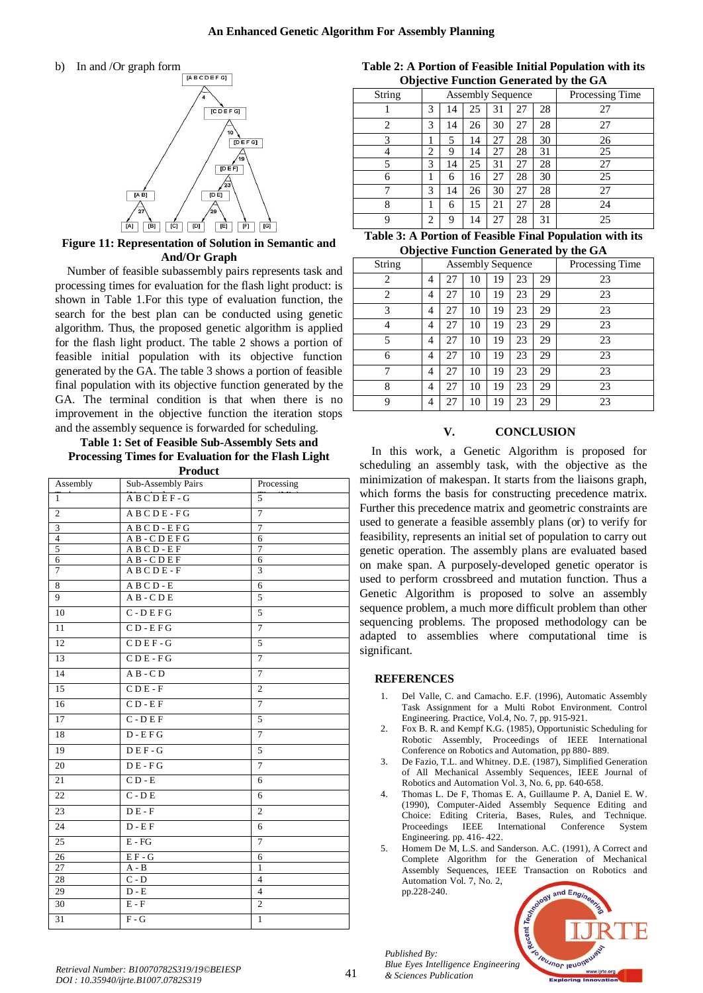

# **Figure 11: Representation of Solution in Semantic and And/Or Graph**

Number of feasible subassembly pairs represents task and processing times for evaluation for the flash light product: is shown in Table 1.For this type of evaluation function, the search for the best plan can be conducted using genetic algorithm. Thus, the proposed genetic algorithm is applied for the flash light product. The table 2 shows a portion of feasible initial population with its objective function generated by the GA. The table 3 shows a portion of feasible final population with its objective function generated by the GA. The terminal condition is that when there is no improvement in the objective function the iteration stops and the assembly sequence is forwarded for scheduling.

#### **Table 1: Set of Feasible Sub-Assembly Sets and Processing Times for Evaluation for the Flash Light Product**

| Assembly        | Sub-Assembly Pairs                                                                        | Processing     |  |  |
|-----------------|-------------------------------------------------------------------------------------------|----------------|--|--|
| $\mathbf{1}$    | ABCDEF-G                                                                                  | 5              |  |  |
| $\overline{c}$  | $\overline{ABCDE}$ - FG                                                                   | $\overline{7}$ |  |  |
| 3               | ABCD-EFG                                                                                  | 7              |  |  |
| $\overline{4}$  | $AB - CD EFG$                                                                             | 6              |  |  |
| 5               | $\overline{A}$ $\overline{B}$ $\overline{C}$ $\overline{D}$ $\overline{E}$ $\overline{F}$ | 7              |  |  |
| 6               | $AB - CDEF$                                                                               | 6              |  |  |
| 7               | $A B C D E - F$                                                                           | 3              |  |  |
| 8               | $A B C D - E$                                                                             | 6              |  |  |
| $\overline{9}$  | $AB - CDE$                                                                                | 5              |  |  |
| 10              | $C - D E F G$                                                                             | 5              |  |  |
| 11              | $CD-EFG$                                                                                  | $\overline{7}$ |  |  |
| 12              | $CDEF-G$                                                                                  | 5              |  |  |
| 13              | $CDE-FG$                                                                                  | $\overline{7}$ |  |  |
| 14              | $A B - C D$                                                                               | $\overline{7}$ |  |  |
| 15              | $CDE-F$                                                                                   | $\overline{c}$ |  |  |
| 16              | $CD$ - $EF$                                                                               | $\overline{7}$ |  |  |
| $\overline{17}$ | $C - D E F$                                                                               | 5              |  |  |
| 18              | $D - E F G$                                                                               | $\overline{7}$ |  |  |
| 19              | $DEF-G$                                                                                   | 5              |  |  |
| 20              | $D E - F G$                                                                               | $\overline{7}$ |  |  |
| 21              | $CD - E$                                                                                  | 6              |  |  |
| $\overline{22}$ | $C - D E$                                                                                 | 6              |  |  |
| 23              | $DE - F$                                                                                  | $\overline{c}$ |  |  |
| 24              | $D - E F$                                                                                 | 6              |  |  |
| 25              | $E - FG$                                                                                  | $\overline{7}$ |  |  |
| 26              | $E F - G$                                                                                 | 6              |  |  |
| 27              | $A - B$                                                                                   | $\mathbf{1}$   |  |  |
| 28              | $C - D$                                                                                   | 4              |  |  |
| 29              | $D - E$                                                                                   | 4              |  |  |
| 30              | $E - F$                                                                                   | $\overline{c}$ |  |  |
| 31              | $F - G$                                                                                   | $\mathbf{1}$   |  |  |

# **Table 2: A Portion of Feasible Initial Population with its Objective Function Generated by the GA**

| - - <b></b> -<br>String | _ _ _ _ _ _ _ _ _ _<br><b>Assembly Sequence</b> |    |    |    |    |    | Processing Time |
|-------------------------|-------------------------------------------------|----|----|----|----|----|-----------------|
|                         | 3                                               | 14 | 25 | 31 | 27 | 28 | 27              |
| 2                       | 3                                               | 14 | 26 | 30 | 27 | 28 | 27              |
| 3                       |                                                 | 5  | 14 | 27 | 28 | 30 | 26              |
| $\overline{4}$          | $\overline{2}$                                  | 9  | 14 | 27 | 28 | 31 | 25              |
| 5                       | 3                                               | 14 | 25 | 31 | 27 | 28 | 27              |
| 6                       |                                                 | 6  | 16 | 27 | 28 | 30 | 25              |
| 7                       | 3                                               | 14 | 26 | 30 | 27 | 28 | 27              |
| 8                       |                                                 | 6  | 15 | 21 | 27 | 28 | 24              |
| 9                       | $\overline{c}$                                  | 9  | 14 | 27 | 28 | 31 | 25              |

|  |  | Table 3: A Portion of Feasible Final Population with its |  |
|--|--|----------------------------------------------------------|--|
|  |  | <b>Objective Function Generated by the GA</b>            |  |

| Objective Function Generated by the GA |                          |    |    |    |    |    |                 |
|----------------------------------------|--------------------------|----|----|----|----|----|-----------------|
| String                                 | <b>Assembly Sequence</b> |    |    |    |    |    | Processing Time |
| 2                                      | 4                        | 27 | 10 | 19 | 23 | 29 | 23              |
| 2                                      | 4                        | 27 | 10 | 19 | 23 | 29 | 23              |
| 3                                      | 4                        | 27 | 10 | 19 | 23 | 29 | 23              |
| 4                                      | 4                        | 27 | 10 | 19 | 23 | 29 | 23              |
| 5                                      | 4                        | 27 | 10 | 19 | 23 | 29 | 23              |
| 6                                      | 4                        | 27 | 10 | 19 | 23 | 29 | 23              |
| 7                                      | 4                        | 27 | 10 | 19 | 23 | 29 | 23              |
| 8                                      | 4                        | 27 | 10 | 19 | 23 | 29 | 23              |
| 9                                      | 4                        | 27 | 10 | 19 | 23 | 29 | 23              |

## **V. CONCLUSION**

In this work, a Genetic Algorithm is proposed for scheduling an assembly task, with the objective as the minimization of makespan. It starts from the liaisons graph, which forms the basis for constructing precedence matrix. Further this precedence matrix and geometric constraints are used to generate a feasible assembly plans (or) to verify for feasibility, represents an initial set of population to carry out genetic operation. The assembly plans are evaluated based on make span. A purposely-developed genetic operator is used to perform crossbreed and mutation function. Thus a Genetic Algorithm is proposed to solve an assembly sequence problem, a much more difficult problem than other sequencing problems. The proposed methodology can be adapted to assemblies where computational time is significant.

#### **REFERENCES**

- 1. Del Valle, C. and Camacho. E.F. (1996), Automatic Assembly Task Assignment for a Multi Robot Environment. Control Engineering. Practice, Vol.4, No. 7, pp. 915-921.
- 2. Fox B. R. and Kempf K.G. (1985), Opportunistic Scheduling for Robotic Assembly, Proceedings of IEEE International Conference on Robotics and Automation, pp 880- 889.
- 3. De Fazio, T.L. and Whitney. D.E. (1987), Simplified Generation of All Mechanical Assembly Sequences, IEEE Journal of Robotics and Automation Vol. 3, No. 6, pp. 640-658.
- 4. Thomas L. De F, Thomas E. A, Guillaume P. A, Daniel E. W. (1990), Computer-Aided Assembly Sequence Editing and Choice: Editing Criteria, Bases, Rules, and Technique. Proceedings IEEE International Conference System Engineering. pp. 416- 422.
- 5. Homem De M, L.S. and Sanderson. A.C. (1991), A Correct and Complete Algorithm for the Generation of Mechanical Assembly Sequences, IEEE Transaction on Robotics and Automation Vol. 7, No. 2, pp.228-240.and Eng